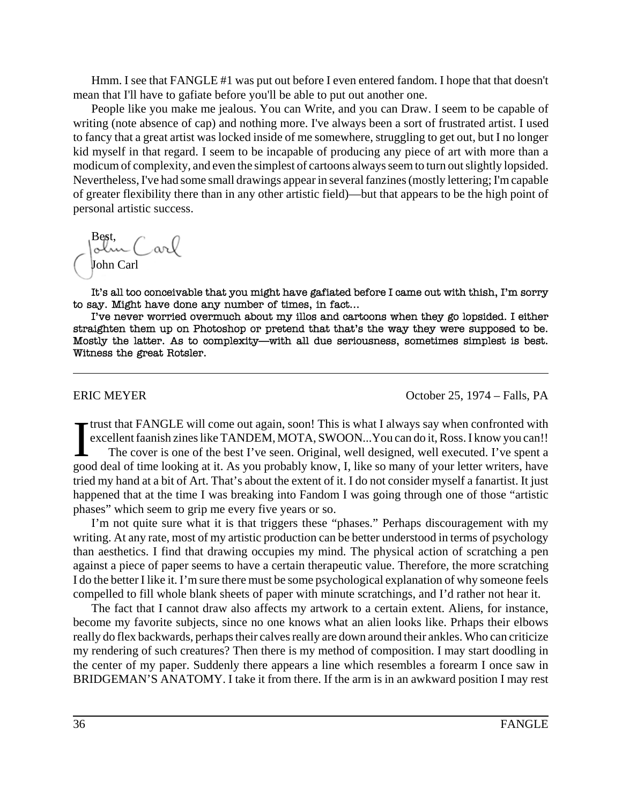Hmm. I see that FANGLE #1 was put out before I even entered fandom. I hope that that doesn't mean that I'll have to gafiate before you'll be able to put out another one.

People like you make me jealous. You can Write, and you can Draw. I seem to be capable of writing (note absence of cap) and nothing more. I've always been a sort of frustrated artist. I used to fancy that a great artist was locked inside of me somewhere, struggling to get out, but I no longer kid myself in that regard. I seem to be incapable of producing any piece of art with more than a modicum of complexity, and even the simplest of cartoons always seem to turn out slightly lopsided. Nevertheless, I've had some small drawings appear in several fanzines (mostly lettering; I'm capable of greater flexibility there than in any other artistic field)—but that appears to be the high point of personal artistic success.

Best,<br>John Carl John Carl

It's all too conceivable that you might have gafiated before I came out with thish, I'm sorry to say. Might have done any number of times, in fact...

I've never worried overmuch about my illos and cartoons when they go lopsided. I either straighten them up on Photoshop or pretend that that's the way they were supposed to be. Mostly the latter. As to complexity—with all due seriousness, sometimes simplest is best. Witness the great Rotsler.

ERIC MEYER COMETER CONSERVERSE ERIC MEYER

I Frust that FANGLE will come out again, soon! This is what I always say when confronted with excellent faanish zines like TANDEM, MOTA, SWOON...You can do it, Ross. I know you can!!<br>The cover is one of the best I've seen. trust that FANGLE will come out again, soon! This is what I always say when confronted with excellent faanish zines like TANDEM, MOTA, SWOON...You can do it, Ross. I know you can!! The cover is one of the best I've seen. Original, well designed, well executed. I've spent a tried my hand at a bit of Art. That's about the extent of it. I do not consider myself a fanartist. It just happened that at the time I was breaking into Fandom I was going through one of those "artistic phases" which seem to grip me every five years or so.

I'm not quite sure what it is that triggers these "phases." Perhaps discouragement with my writing. At any rate, most of my artistic production can be better understood in terms of psychology than aesthetics. I find that drawing occupies my mind. The physical action of scratching a pen against a piece of paper seems to have a certain therapeutic value. Therefore, the more scratching I do the better I like it. I'm sure there must be some psychological explanation of why someone feels compelled to fill whole blank sheets of paper with minute scratchings, and I'd rather not hear it.

The fact that I cannot draw also affects my artwork to a certain extent. Aliens, for instance, become my favorite subjects, since no one knows what an alien looks like. Prhaps their elbows really do flex backwards, perhaps their calves really are down around their ankles. Who can criticize my rendering of such creatures? Then there is my method of composition. I may start doodling in the center of my paper. Suddenly there appears a line which resembles a forearm I once saw in BRIDGEMAN'S ANATOMY. I take it from there. If the arm is in an awkward position I may rest